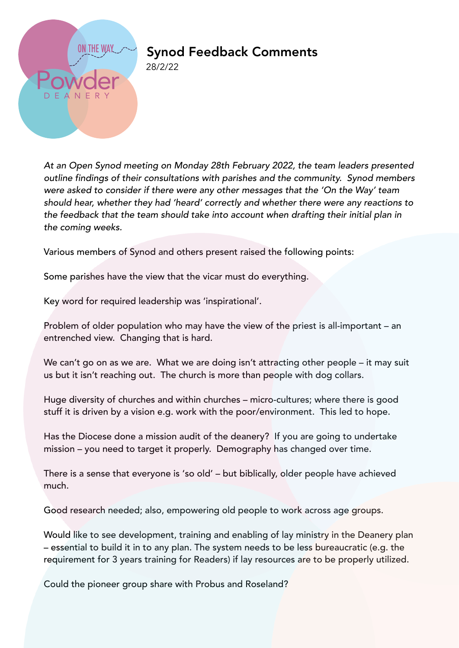

## Synod Feedback Comments

28/2/22

*At an Open Synod meeting on Monday 28th February 2022, the team leaders presented outline findings of their consultations with parishes and the community. Synod members were asked to consider if there were any other messages that the 'On the Way' team should hear, whether they had 'heard' correctly and whether there were any reactions to the feedback that the team should take into account when drafting their initial plan in the coming weeks.*

Various members of Synod and others present raised the following points:

Some parishes have the view that the vicar must do everything.

Key word for required leadership was 'inspirational'.

Problem of older population who may have the view of the priest is all-important – an entrenched view. Changing that is hard.

We can't go on as we are. What we are doing isn't attracting other people – it may suit us but it isn't reaching out. The church is more than people with dog collars.

Huge diversity of churches and within churches – micro-cultures; where there is good stuff it is driven by a vision e.g. work with the poor/environment. This led to hope.

Has the Diocese done a mission audit of the deanery? If you are going to undertake mission – you need to target it properly. Demography has changed over time.

There is a sense that everyone is 'so old' – but biblically, older people have achieved much.

Good research needed; also, empowering old people to work across age groups.

Would like to see development, training and enabling of lay ministry in the Deanery plan – essential to build it in to any plan. The system needs to be less bureaucratic (e.g. the requirement for 3 years training for Readers) if lay resources are to be properly utilized.

Could the pioneer group share with Probus and Roseland?